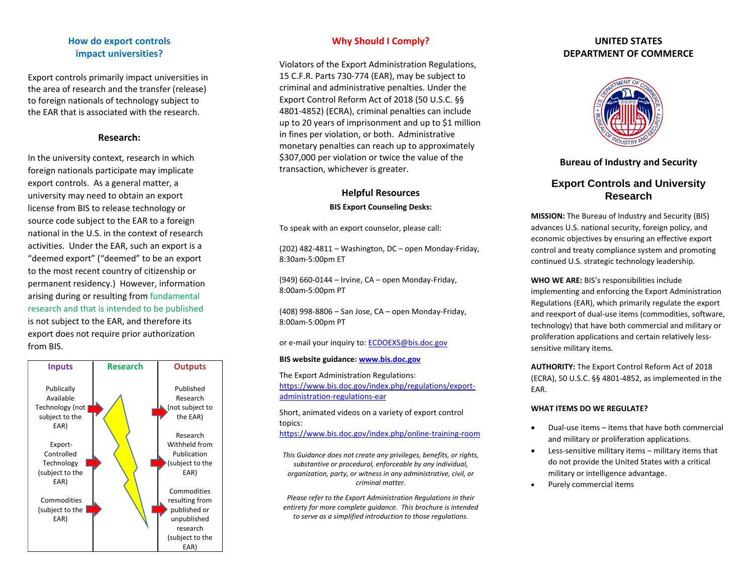# **How do export controls impact universities?**

Export controls primarily impact universities in the area of research and the transfer (release) to foreign nationals of technology subject to the EAR that is associated with the research.

#### **Research:**

In the university context, research in which foreign nationals participate may implicate export controls. As a general matter, a university may need to obtain an export license from BIS to release technology or source code subject to the EAR to a foreign national in the U.S. in the context of research activities. Under the EAR, such an export is a "deemed export" ("deemed" to be an export to the most recent country of citizenship or permanent residency.) However, information arising during or resulting from fundamental research and that is intended to be published is not subject to the EAR, and therefore its export does not require prior authorization from BIS.



# **Why Should I Comply?**

Violators of the Export Administration Regulations, 15 C.F.R. Parts 730-774 (EAR), may be subject to criminal and administrative penalties. Under the Export Control Reform Act of 2018 (50 U.S.C. §§ 4801-4852) (ECRA), criminal penalties can include up to 20 years of imprisonment and up to \$1 million in fines per violation, or both. Administrative monetary penalties can reach up to approximately \$307,000 per violation or twice the value of the transaction, whichever is greater.

# **Helpful Resources**

# **BIS Export Counseling Desks:**

To speak with an export counselor, please call:

(202) 482-4811 – Washington, DC – open Monday-Friday, 8:30am-5:00pm ET

(949) 660-0144 – Irvine, CA – open Monday-Friday, 8:00am-5:00pm PT

(408) 998-8806 – San Jose, CA – open Monday-Friday, 8:00am-5:00pm PT

or e-mail your inquiry to: [ECDOEXS@bis.doc.gov](mailto:ECDOEXS@bis.doc.gov)

#### **BIS website guidance: [www.bis.doc.gov](http://www.bis.doc.gov/)**

The Export Administration Regulations: [https://www.bis.doc.gov/index.php/regulations/export](https://www.bis.doc.gov/index.php/regulations/export-administration-regulations-ear)[administration-regulations-ear](https://www.bis.doc.gov/index.php/regulations/export-administration-regulations-ear)

Short, animated videos on a variety of export control topics: <https://www.bis.doc.gov/index.php/online-training-room>

*This Guidance does not create any privileges, benefits, or rights, substantive or procedural, enforceable by any individual, organization, party, or witness in any administrative, civil, or criminal matter.*

*Please refer to the Export Administration Regulations in their entirety for more complete guidance. This brochure is intended to serve as a simplified introduction to those regulations.*

# **UNITED STATES DEPARTMENT OF COMMERCE**



# **Bureau of Industry and Security**

# **Export Controls and University Research**

**MISSION:** The Bureau of Industry and Security (BIS) advances U.S. national security, foreign policy, and economic objectives by ensuring an effective export control and treaty compliance system and promoting continued U.S. strategic technology leadership.

**WHO WE ARE:** BIS's responsibilities include implementing and enforcing the Export Administration Regulations (EAR), which primarily regulate the export and reexport of dual-use items (commodities, software, technology) that have both commercial and military or proliferation applications and certain relatively lesssensitive military items.

**AUTHORITY:** The Export Control Reform Act of 2018 (ECRA), 50 U.S.C. §§ 4801-4852, as implemented in the EAR.

#### **WHAT ITEMS DO WE REGULATE?**

- Dual-use items items that have both commercial and military or proliferation applications.
- Less-sensitive military items military items that do not provide the United States with a critical military or intelligence advantage.
- Purely commercial items